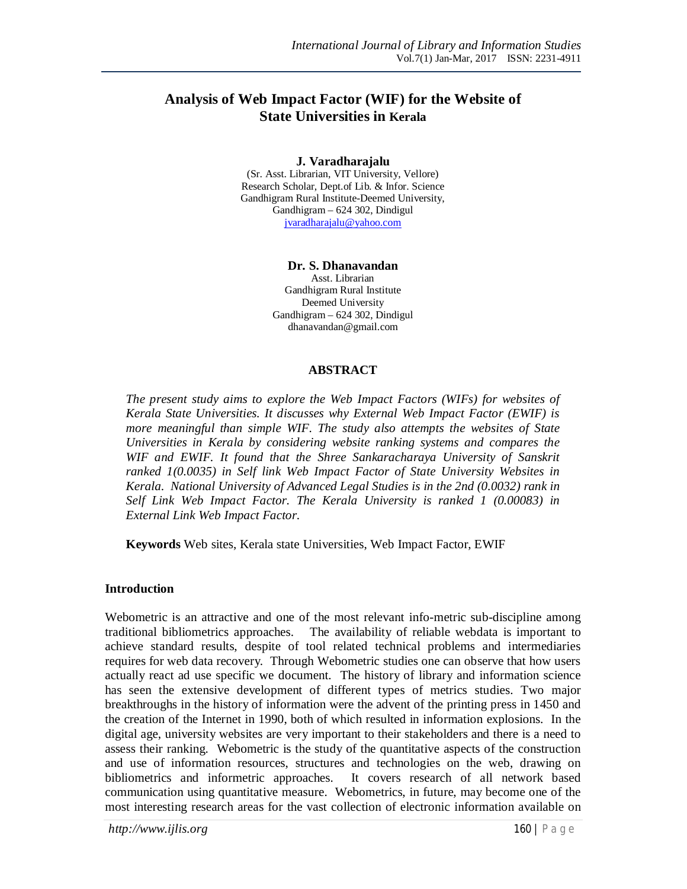# **Analysis of Web Impact Factor (WIF) for the Website of State Universities in Kerala**

#### **J. Varadharajalu**

(Sr. Asst. Librarian, VIT University, Vellore) Research Scholar, Dept.of Lib. & Infor. Science Gandhigram Rural Institute-Deemed University, Gandhigram – 624 302, Dindigul jvaradharajalu@yahoo.com

#### **Dr. S. Dhanavandan**

Asst. Librarian Gandhigram Rural Institute Deemed University Gandhigram – 624 302, Dindigul dhanavandan@gmail.com

#### **ABSTRACT**

*The present study aims to explore the Web Impact Factors (WIFs) for websites of Kerala State Universities. It discusses why External Web Impact Factor (EWIF) is more meaningful than simple WIF. The study also attempts the websites of State Universities in Kerala by considering website ranking systems and compares the WIF and EWIF. It found that the Shree Sankaracharaya University of Sanskrit ranked 1(0.0035) in Self link Web Impact Factor of State University Websites in Kerala. National University of Advanced Legal Studies is in the 2nd (0.0032) rank in Self Link Web Impact Factor. The Kerala University is ranked 1 (0.00083) in External Link Web Impact Factor.*

**Keywords** Web sites, Kerala state Universities, Web Impact Factor, EWIF

#### **Introduction**

Webometric is an attractive and one of the most relevant info-metric sub-discipline among traditional bibliometrics approaches. The availability of reliable webdata is important to achieve standard results, despite of tool related technical problems and intermediaries requires for web data recovery. Through Webometric studies one can observe that how users actually react ad use specific we document. The history of library and information science has seen the extensive development of different types of metrics studies. Two major breakthroughs in the history of information were the advent of the printing press in 1450 and the creation of the Internet in 1990, both of which resulted in information explosions. In the digital age, university websites are very important to their stakeholders and there is a need to assess their ranking. Webometric is the study of the quantitative aspects of the construction and use of information resources, structures and technologies on the web, drawing on bibliometrics and informetric approaches. It covers research of all network based communication using quantitative measure. Webometrics, in future, may become one of the most interesting research areas for the vast collection of electronic information available on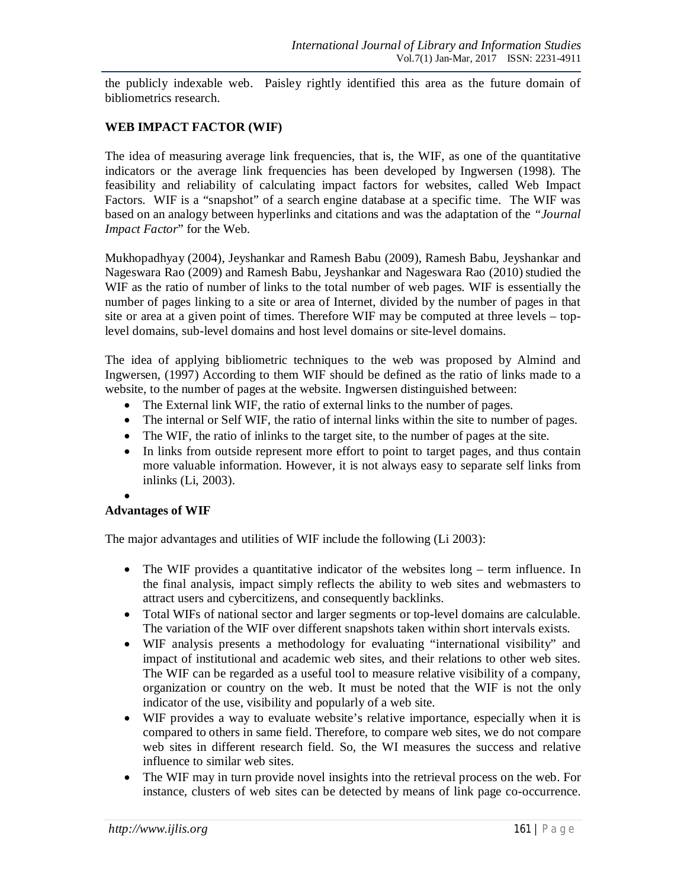the publicly indexable web. Paisley rightly identified this area as the future domain of bibliometrics research.

# **WEB IMPACT FACTOR (WIF)**

The idea of measuring average link frequencies, that is, the WIF, as one of the quantitative indicators or the average link frequencies has been developed by Ingwersen (1998). The feasibility and reliability of calculating impact factors for websites, called Web Impact Factors. WIF is a "snapshot" of a search engine database at a specific time. The WIF was based on an analogy between hyperlinks and citations and was the adaptation of the *"Journal Impact Factor*" for the Web.

Mukhopadhyay (2004), Jeyshankar and Ramesh Babu (2009), Ramesh Babu, Jeyshankar and Nageswara Rao (2009) and Ramesh Babu, Jeyshankar and Nageswara Rao (2010) studied the WIF as the ratio of number of links to the total number of web pages. WIF is essentially the number of pages linking to a site or area of Internet, divided by the number of pages in that site or area at a given point of times. Therefore WIF may be computed at three levels – toplevel domains, sub-level domains and host level domains or site-level domains.

The idea of applying bibliometric techniques to the web was proposed by Almind and Ingwersen, (1997) According to them WIF should be defined as the ratio of links made to a website, to the number of pages at the website. Ingwersen distinguished between:

- The External link WIF, the ratio of external links to the number of pages.
- The internal or Self WIF, the ratio of internal links within the site to number of pages.
- The WIF, the ratio of inlinks to the target site, to the number of pages at the site.
- In links from outside represent more effort to point to target pages, and thus contain more valuable information. However, it is not always easy to separate self links from inlinks (Li, 2003).
- $\bullet$

# **Advantages of WIF**

The major advantages and utilities of WIF include the following (Li 2003):

- The WIF provides a quantitative indicator of the websites long term influence. In the final analysis, impact simply reflects the ability to web sites and webmasters to attract users and cybercitizens, and consequently backlinks.
- Total WIFs of national sector and larger segments or top-level domains are calculable. The variation of the WIF over different snapshots taken within short intervals exists.
- WIF analysis presents a methodology for evaluating "international visibility" and impact of institutional and academic web sites, and their relations to other web sites. The WIF can be regarded as a useful tool to measure relative visibility of a company, organization or country on the web. It must be noted that the WIF is not the only indicator of the use, visibility and popularly of a web site.
- WIF provides a way to evaluate website's relative importance, especially when it is compared to others in same field. Therefore, to compare web sites, we do not compare web sites in different research field. So, the WI measures the success and relative influence to similar web sites.
- The WIF may in turn provide novel insights into the retrieval process on the web. For instance, clusters of web sites can be detected by means of link page co-occurrence.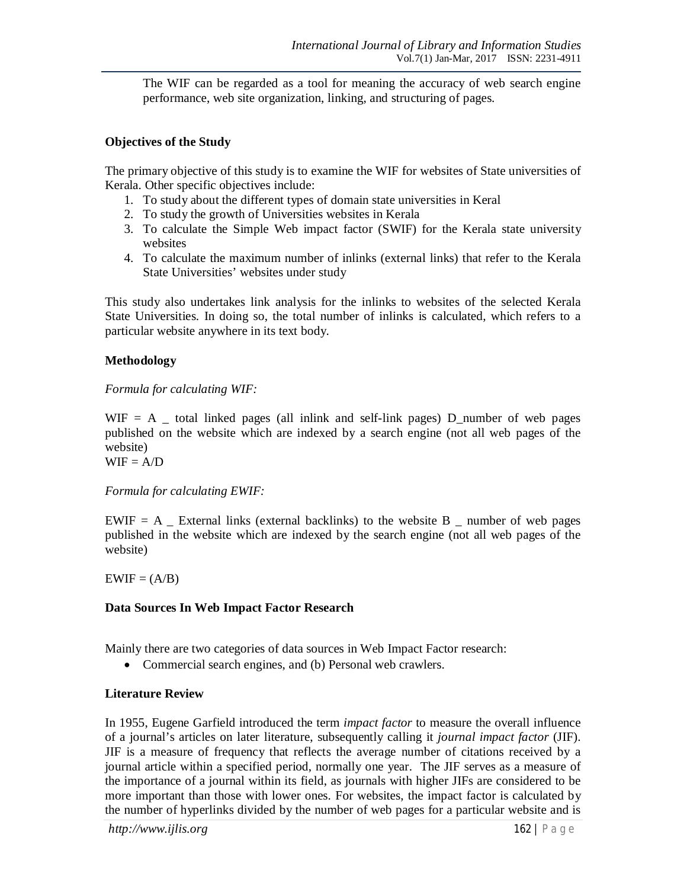The WIF can be regarded as a tool for meaning the accuracy of web search engine performance, web site organization, linking, and structuring of pages.

### **Objectives of the Study**

The primary objective of this study is to examine the WIF for websites of State universities of Kerala. Other specific objectives include:

- 1. To study about the different types of domain state universities in Keral
- 2. To study the growth of Universities websites in Kerala
- 3. To calculate the Simple Web impact factor (SWIF) for the Kerala state university websites
- 4. To calculate the maximum number of inlinks (external links) that refer to the Kerala State Universities' websites under study

This study also undertakes link analysis for the inlinks to websites of the selected Kerala State Universities. In doing so, the total number of inlinks is calculated, which refers to a particular website anywhere in its text body.

#### **Methodology**

*Formula for calculating WIF:*

 $WIF = A$  total linked pages (all inlink and self-link pages) D\_number of web pages published on the website which are indexed by a search engine (not all web pages of the website)

 $WIF = A/D$ 

*Formula for calculating EWIF:*

 $EWIF = A$  External links (external backlinks) to the website B \_ number of web pages published in the website which are indexed by the search engine (not all web pages of the website)

 $EWIF = (A/B)$ 

# **Data Sources In Web Impact Factor Research**

Mainly there are two categories of data sources in Web Impact Factor research:

• Commercial search engines, and (b) Personal web crawlers.

# **Literature Review**

In 1955, Eugene Garfield introduced the term *impact factor* to measure the overall influence of a journal's articles on later literature, subsequently calling it *journal impact factor* (JIF). JIF is a measure of frequency that reflects the average number of citations received by a journal article within a specified period, normally one year. The JIF serves as a measure of the importance of a journal within its field, as journals with higher JIFs are considered to be more important than those with lower ones. For websites, the impact factor is calculated by the number of hyperlinks divided by the number of web pages for a particular website and is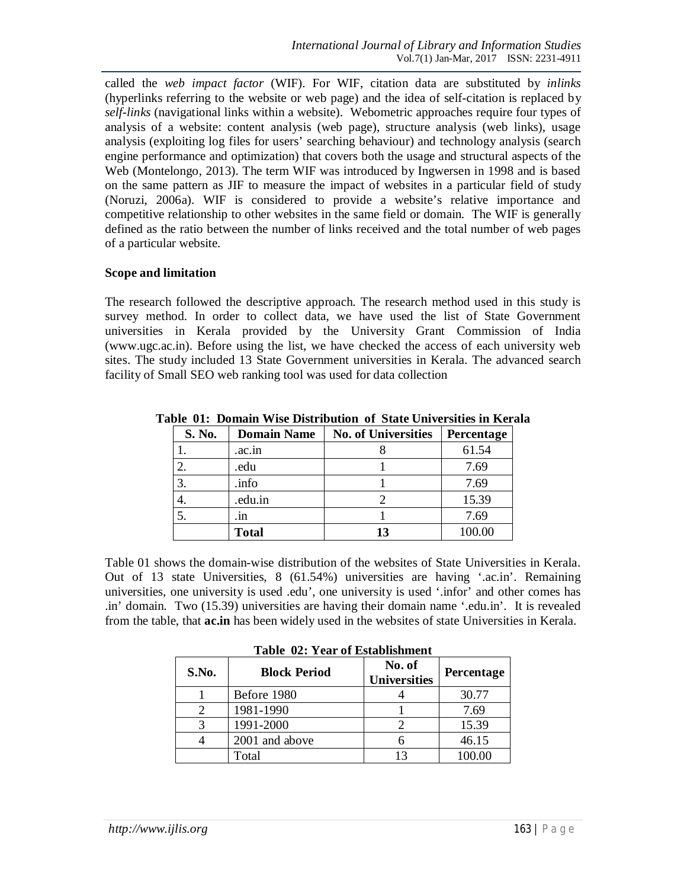called the *web impact factor* (WIF). For WIF, citation data are substituted by *inlinks*  (hyperlinks referring to the website or web page) and the idea of self-citation is replaced by *self-links* (navigational links within a website). Webometric approaches require four types of analysis of a website: content analysis (web page), structure analysis (web links), usage analysis (exploiting log files for users' searching behaviour) and technology analysis (search engine performance and optimization) that covers both the usage and structural aspects of the Web (Montelongo, 2013). The term WIF was introduced by Ingwersen in 1998 and is based on the same pattern as JIF to measure the impact of websites in a particular field of study (Noruzi, 2006a). WIF is considered to provide a website's relative importance and competitive relationship to other websites in the same field or domain. The WIF is generally defined as the ratio between the number of links received and the total number of web pages of a particular website.

#### **Scope and limitation**

The research followed the descriptive approach. The research method used in this study is survey method. In order to collect data, we have used the list of State Government universities in Kerala provided by the University Grant Commission of India (www.ugc.ac.in). Before using the list, we have checked the access of each university web sites. The study included 13 State Government universities in Kerala. The advanced search facility of Small SEO web ranking tool was used for data collection

| S. No. | <b>Domain Name</b> | <b>No. of Universities</b> | Percentage |
|--------|--------------------|----------------------------|------------|
|        | .ac.in             |                            | 61.54      |
|        | .edu               |                            | 7.69       |
| 3.     | .info              |                            | 7.69       |
| 4.     | .edu.in            |                            | 15.39      |
|        | .1N                |                            | 7.69       |
|        | <b>Total</b>       | 13                         | 100.00     |

**Table 01: Domain Wise Distribution of State Universities in Kerala**

Table 01 shows the domain-wise distribution of the websites of State Universities in Kerala. Out of 13 state Universities, 8 (61.54%) universities are having '.ac.in'. Remaining universities, one university is used .edu', one university is used '.infor' and other comes has .in' domain. Two (15.39) universities are having their domain name '.edu.in'. It is revealed from the table, that **ac.in** has been widely used in the websites of state Universities in Kerala.

| Table 02: Year of Establishment |  |  |  |  |  |
|---------------------------------|--|--|--|--|--|
|                                 |  |  |  |  |  |

| S.No. | <b>Block Period</b> | No. of<br><b>Universities</b> | <b>Percentage</b> |  |
|-------|---------------------|-------------------------------|-------------------|--|
|       | Before 1980         |                               | 30.77             |  |
|       | 1981-1990           |                               | 7.69              |  |
|       | 1991-2000           |                               | 15.39             |  |
|       | 2001 and above      |                               | 46.15             |  |
|       | Total               |                               |                   |  |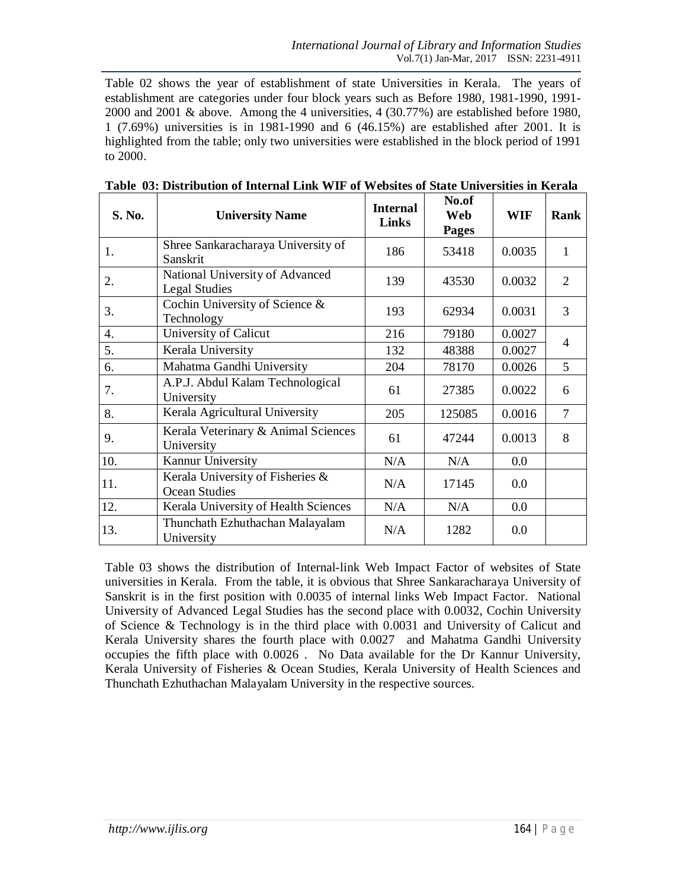Table 02 shows the year of establishment of state Universities in Kerala. The years of establishment are categories under four block years such as Before 1980, 1981-1990, 1991- 2000 and 2001 & above. Among the 4 universities, 4 (30.77%) are established before 1980, 1 (7.69%) universities is in 1981-1990 and 6 (46.15%) are established after 2001. It is highlighted from the table; only two universities were established in the block period of 1991 to 2000.

| S. No. | <b>University Name</b>                                   | <b>Internal</b><br><b>Links</b> | No.of<br><b>Web</b><br><b>Pages</b> | <b>WIF</b> | Rank           |
|--------|----------------------------------------------------------|---------------------------------|-------------------------------------|------------|----------------|
| 1.     | Shree Sankaracharaya University of<br>Sanskrit           | 186                             | 53418                               | 0.0035     | $\mathbf{1}$   |
| 2.     | National University of Advanced<br><b>Legal Studies</b>  | 139                             | 43530                               | 0.0032     | 2              |
| 3.     | Cochin University of Science &<br>Technology             | 193                             | 62934                               | 0.0031     | 3              |
| 4.     | University of Calicut                                    | 216                             | 79180                               | 0.0027     |                |
| 5.     | Kerala University                                        | 132                             | 48388                               | 0.0027     | $\overline{4}$ |
| 6.     | Mahatma Gandhi University                                | 204                             | 78170                               | 0.0026     | 5              |
| 7.     | A.P.J. Abdul Kalam Technological<br>University           | 61                              | 27385                               | 0.0022     | 6              |
| 8.     | Kerala Agricultural University                           | 205                             | 125085                              | 0.0016     | $\overline{7}$ |
| 9.     | Kerala Veterinary & Animal Sciences<br>University        | 61                              | 47244                               | 0.0013     | 8              |
| 10.    | Kannur University                                        | N/A                             | N/A                                 | 0.0        |                |
| 11.    | Kerala University of Fisheries &<br><b>Ocean Studies</b> | N/A                             | 17145                               | 0.0        |                |
| 12.    | Kerala University of Health Sciences                     | N/A                             | N/A                                 | 0.0        |                |
| 13.    | Thunchath Ezhuthachan Malayalam<br>University            | N/A                             | 1282                                | 0.0        |                |

**Table 03: Distribution of Internal Link WIF of Websites of State Universities in Kerala**

Table 03 shows the distribution of Internal-link Web Impact Factor of websites of State universities in Kerala. From the table, it is obvious that Shree Sankaracharaya University of Sanskrit is in the first position with 0.0035 of internal links Web Impact Factor. National University of Advanced Legal Studies has the second place with 0.0032, Cochin University of Science & Technology is in the third place with 0.0031 and University of Calicut and Kerala University shares the fourth place with 0.0027 and Mahatma Gandhi University occupies the fifth place with 0.0026 . No Data available for the Dr Kannur University, Kerala University of Fisheries & Ocean Studies, Kerala University of Health Sciences and Thunchath Ezhuthachan Malayalam University in the respective sources.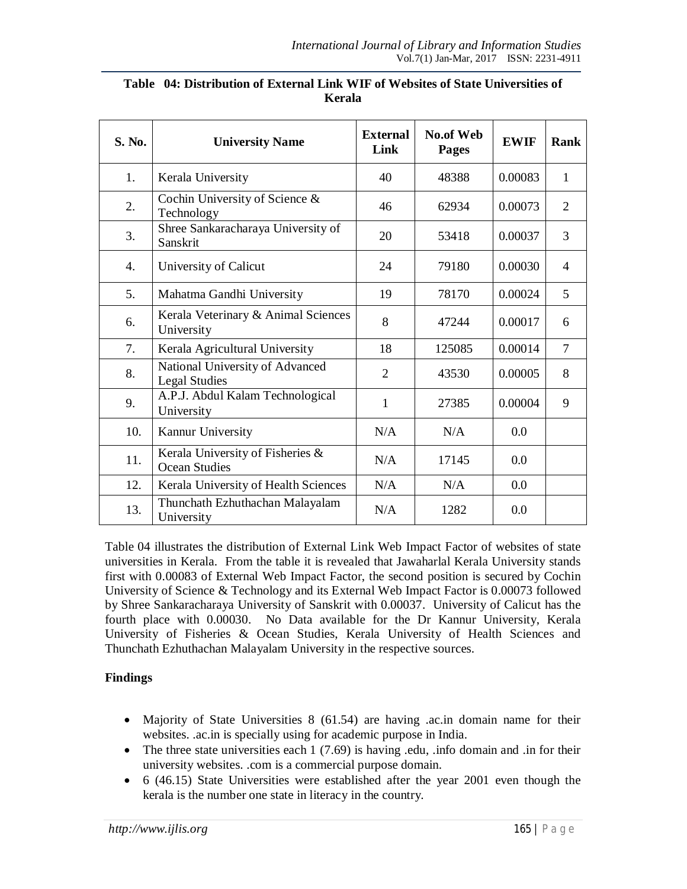| S. No. | <b>University Name</b>                                   | <b>No.of Web</b><br><b>External</b><br>Link<br><b>Pages</b> |        | <b>EWIF</b> | <b>Rank</b>    |
|--------|----------------------------------------------------------|-------------------------------------------------------------|--------|-------------|----------------|
| 1.     | Kerala University                                        | 40                                                          | 48388  | 0.00083     | $\mathbf{1}$   |
| 2.     | Cochin University of Science &<br>Technology             | 46                                                          | 62934  | 0.00073     | $\overline{2}$ |
| 3.     | Shree Sankaracharaya University of<br>Sanskrit           | 20                                                          | 53418  | 0.00037     | 3              |
| 4.     | University of Calicut                                    | 24                                                          | 79180  | 0.00030     | $\overline{4}$ |
| 5.     | Mahatma Gandhi University                                | 19                                                          | 78170  | 0.00024     | 5              |
| 6.     | Kerala Veterinary & Animal Sciences<br>University        | 8                                                           | 47244  | 0.00017     | 6              |
| 7.     | Kerala Agricultural University                           | 18                                                          | 125085 | 0.00014     | 7              |
| 8.     | National University of Advanced<br><b>Legal Studies</b>  | $\overline{2}$                                              | 43530  | 0.00005     | 8              |
| 9.     | A.P.J. Abdul Kalam Technological<br>University           | 1                                                           | 27385  | 0.00004     | 9              |
| 10.    | Kannur University                                        | N/A                                                         | N/A    | 0.0         |                |
| 11.    | Kerala University of Fisheries &<br><b>Ocean Studies</b> | N/A                                                         | 17145  | 0.0         |                |
| 12.    | Kerala University of Health Sciences                     | N/A                                                         | N/A    | 0.0         |                |
| 13.    | Thunchath Ezhuthachan Malayalam<br>University            | N/A                                                         | 1282   | 0.0         |                |

### **Table 04: Distribution of External Link WIF of Websites of State Universities of Kerala**

Table 04 illustrates the distribution of External Link Web Impact Factor of websites of state universities in Kerala. From the table it is revealed that Jawaharlal Kerala University stands first with 0.00083 of External Web Impact Factor, the second position is secured by Cochin University of Science & Technology and its External Web Impact Factor is 0.00073 followed by Shree Sankaracharaya University of Sanskrit with 0.00037. University of Calicut has the fourth place with 0.00030. No Data available for the Dr Kannur University, Kerala University of Fisheries & Ocean Studies, Kerala University of Health Sciences and Thunchath Ezhuthachan Malayalam University in the respective sources.

# **Findings**

- Majority of State Universities 8 (61.54) are having .ac.in domain name for their websites. .ac.in is specially using for academic purpose in India.
- The three state universities each  $1(7.69)$  is having .edu, .info domain and .in for their university websites. .com is a commercial purpose domain.
- 6 (46.15) State Universities were established after the year 2001 even though the kerala is the number one state in literacy in the country.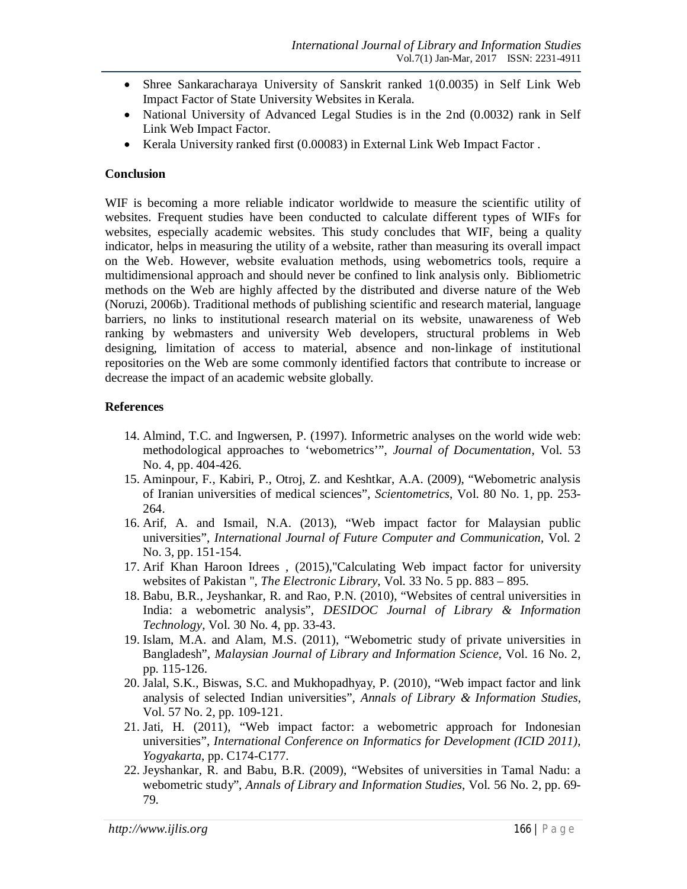- Shree Sankaracharaya University of Sanskrit ranked 1(0.0035) in Self Link Web Impact Factor of State University Websites in Kerala.
- National University of Advanced Legal Studies is in the 2nd (0.0032) rank in Self Link Web Impact Factor.
- Kerala University ranked first (0.00083) in External Link Web Impact Factor.

#### **Conclusion**

WIF is becoming a more reliable indicator worldwide to measure the scientific utility of websites. Frequent studies have been conducted to calculate different types of WIFs for websites, especially academic websites. This study concludes that WIF, being a quality indicator, helps in measuring the utility of a website, rather than measuring its overall impact on the Web. However, website evaluation methods, using webometrics tools, require a multidimensional approach and should never be confined to link analysis only. Bibliometric methods on the Web are highly affected by the distributed and diverse nature of the Web (Noruzi, 2006b). Traditional methods of publishing scientific and research material, language barriers, no links to institutional research material on its website, unawareness of Web ranking by webmasters and university Web developers, structural problems in Web designing, limitation of access to material, absence and non-linkage of institutional repositories on the Web are some commonly identified factors that contribute to increase or decrease the impact of an academic website globally.

# **References**

- 14. Almind, T.C. and Ingwersen, P. (1997). Informetric analyses on the world wide web: methodological approaches to 'webometrics'", *Journal of Documentation*, Vol. 53 No. 4, pp. 404-426.
- 15. Aminpour, F., Kabiri, P., Otroj, Z. and Keshtkar, A.A. (2009), "Webometric analysis of Iranian universities of medical sciences", *Scientometrics*, Vol. 80 No. 1, pp. 253- 264.
- 16. Arif, A. and Ismail, N.A. (2013), "Web impact factor for Malaysian public universities", *International Journal of Future Computer and Communication*, Vol. 2 No. 3, pp. 151-154.
- 17. Arif Khan Haroon Idrees , (2015),"Calculating Web impact factor for university websites of Pakistan ", *The Electronic Library*, Vol. 33 No. 5 pp. 883 – 895.
- 18. Babu, B.R., Jeyshankar, R. and Rao, P.N. (2010), "Websites of central universities in India: a webometric analysis", *DESIDOC Journal of Library & Information Technology*, Vol. 30 No. 4, pp. 33-43.
- 19. Islam, M.A. and Alam, M.S. (2011), "Webometric study of private universities in Bangladesh", *Malaysian Journal of Library and Information Science*, Vol. 16 No. 2, pp. 115-126.
- 20. Jalal, S.K., Biswas, S.C. and Mukhopadhyay, P. (2010), "Web impact factor and link analysis of selected Indian universities", *Annals of Library & Information Studies*, Vol. 57 No. 2, pp. 109-121.
- 21. Jati, H. (2011), "Web impact factor: a webometric approach for Indonesian universities", *International Conference on Informatics for Development (ICID 2011)*, *Yogyakarta*, pp. C174-C177.
- 22. Jeyshankar, R. and Babu, B.R. (2009), "Websites of universities in Tamal Nadu: a webometric study", *Annals of Library and Information Studies*, Vol. 56 No. 2, pp. 69- 79.